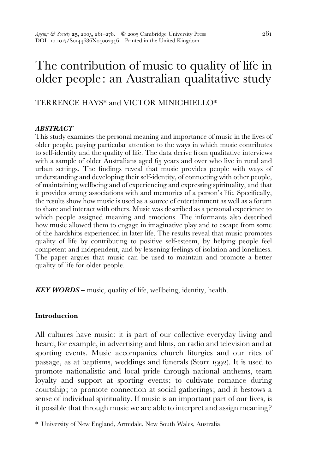# The contribution of music to quality of life in older people: an Australian qualitative study

# TERRENCE HAYS\* and VICTOR MINICHIELLO\*

#### ABSTRACT

This study examines the personal meaning and importance of music in the lives of older people, paying particular attention to the ways in which music contributes to self-identity and the quality of life. The data derive from qualitative interviews with a sample of older Australians aged 65 years and over who live in rural and urban settings. The findings reveal that music provides people with ways of understanding and developing their self-identity, of connecting with other people, of maintaining wellbeing and of experiencing and expressing spirituality, and that it provides strong associations with and memories of a person's life. Specifically, the results show how music is used as a source of entertainment as well as a forum to share and interact with others. Music was described as a personal experience to which people assigned meaning and emotions. The informants also described how music allowed them to engage in imaginative play and to escape from some of the hardships experienced in later life. The results reveal that music promotes quality of life by contributing to positive self-esteem, by helping people feel competent and independent, and by lessening feelings of isolation and loneliness. The paper argues that music can be used to maintain and promote a better quality of life for older people.

KEY WORDS – music, quality of life, wellbeing, identity, health.

## Introduction

All cultures have music: it is part of our collective everyday living and heard, for example, in advertising and films, on radio and television and at sporting events. Music accompanies church liturgies and our rites of passage, as at baptisms, weddings and funerals (Storr 1992). It is used to promote nationalistic and local pride through national anthems, team loyalty and support at sporting events; to cultivate romance during courtship; to promote connection at social gatherings; and it bestows a sense of individual spirituality. If music is an important part of our lives, is it possible that through music we are able to interpret and assign meaning?

<sup>\*</sup> University of New England, Armidale, New South Wales, Australia.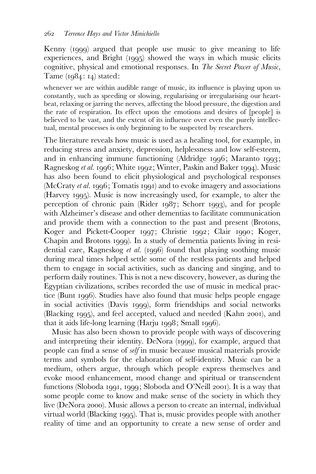Kenny (1999) argued that people use music to give meaning to life experiences, and Bright (1995) showed the ways in which music elicits cognitive, physical and emotional responses. In The Secret Power of Music, Tame (1984: 14) stated:

whenever we are within audible range of music, its influence is playing upon us constantly, such as speeding or slowing, regularising or irregularising our heartbeat, relaxing or jarring the nerves, affecting the blood pressure, the digestion and the rate of respiration. Its effect upon the emotions and desires of [people] is believed to be vast, and the extent of its influence over even the purely intellectual, mental processes is only beginning to be suspected by researchers.

The literature reveals how music is used as a healing tool, for example, in reducing stress and anxiety, depression, helplessness and low self-esteem, and in enhancing immune functioning (Aldridge 1996; Maranto 1993; Ragneskog et al. 1996; White 1992; Winter, Paskin and Baker 1994). Music has also been found to elicit physiological and psychological responses (McCraty et al. 1996; Tomatis 1991) and to evoke imagery and associations (Harvey 1995). Music is now increasingly used, for example, to alter the perception of chronic pain (Rider 1987; Schorr 1993), and for people with Alzheimer's disease and other dementias to facilitate communication and provide them with a connection to the past and present (Brotons, Koger and Pickett-Cooper 1997; Christie 1992; Clair 1990; Koger, Chapin and Brotons 1999). In a study of dementia patients living in residential care, Ragneskog et al. (1996) found that playing soothing music during meal times helped settle some of the restless patients and helped them to engage in social activities, such as dancing and singing, and to perform daily routines. This is not a new discovery, however, as during the Egyptian civilizations, scribes recorded the use of music in medical practice (Bunt 1996). Studies have also found that music helps people engage in social activities (Davis 1999), form friendships and social networks (Blacking 1995), and feel accepted, valued and needed (Kahn 2001), and that it aids life-long learning (Harju 1998; Small 1996).

Music has also been shown to provide people with ways of discovering and interpreting their identity. DeNora (1999), for example, argued that people can find a sense of self in music because musical materials provide terms and symbols for the elaboration of self-identity. Music can be a medium, others argue, through which people express themselves and evoke mood enhancement, mood change and spiritual or transcendent functions (Sloboda 1991, 1999; Sloboda and O'Neill 2001). It is a way that some people come to know and make sense of the society in which they live (DeNora 2000). Music allows a person to create an internal, individual virtual world (Blacking 1995). That is, music provides people with another reality of time and an opportunity to create a new sense of order and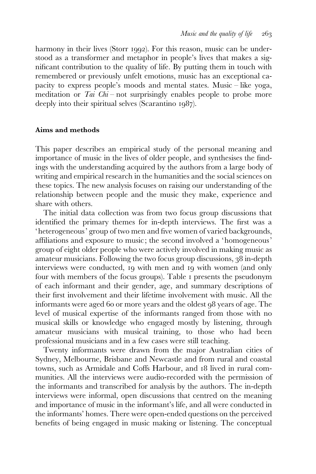harmony in their lives (Storr 1992). For this reason, music can be understood as a transformer and metaphor in people's lives that makes a significant contribution to the quality of life. By putting them in touch with remembered or previously unfelt emotions, music has an exceptional capacity to express people's moods and mental states. Music – like yoga, meditation or  $Tai$  Chi – not surprisingly enables people to probe more deeply into their spiritual selves (Scarantino 1987).

### Aims and methods

This paper describes an empirical study of the personal meaning and importance of music in the lives of older people, and synthesises the findings with the understanding acquired by the authors from a large body of writing and empirical research in the humanities and the social sciences on these topics. The new analysis focuses on raising our understanding of the relationship between people and the music they make, experience and share with others.

The initial data collection was from two focus group discussions that identified the primary themes for in-depth interviews. The first was a 'heterogeneous' group of two men and five women of varied backgrounds, affiliations and exposure to music; the second involved a 'homogeneous' group of eight older people who were actively involved in making music as amateur musicians. Following the two focus group discussions, 38 in-depth interviews were conducted, 19 with men and 19 with women (and only four with members of the focus groups). Table 1 presents the pseudonym of each informant and their gender, age, and summary descriptions of their first involvement and their lifetime involvement with music. All the informants were aged 60 or more years and the oldest 98 years of age. The level of musical expertise of the informants ranged from those with no musical skills or knowledge who engaged mostly by listening, through amateur musicians with musical training, to those who had been professional musicians and in a few cases were still teaching.

Twenty informants were drawn from the major Australian cities of Sydney, Melbourne, Brisbane and Newcastle and from rural and coastal towns, such as Armidale and Coffs Harbour, and 18 lived in rural communities. All the interviews were audio-recorded with the permission of the informants and transcribed for analysis by the authors. The in-depth interviews were informal, open discussions that centred on the meaning and importance of music in the informant's life, and all were conducted in the informants' homes. There were open-ended questions on the perceived benefits of being engaged in music making or listening. The conceptual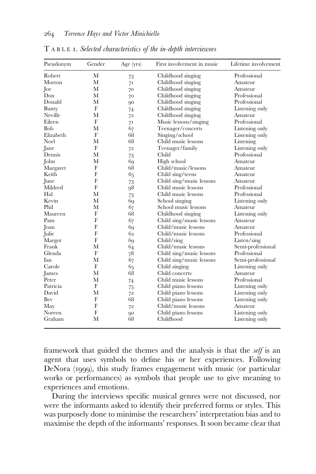| Pseudonym    | Gender       | Age $(yrs)$    | First involvement in music | Lifetime involvement |
|--------------|--------------|----------------|----------------------------|----------------------|
| Robert       | М            | 73             | Childhood singing          | Professional         |
| Morton       | М            | 71             | Childhood singing          | Amateur              |
| Joe          | M            | 70             | Childhood singing          | Amateur              |
| Don          | м            | 70             | Childhood singing          | Professional         |
| Donald       | м            | 90             | Childhood singing          | Professional         |
| <b>Bunty</b> | $\mathbf{F}$ | 74             | Childhood singing          | Listening only       |
| Neville      | M            | 72             | Childhood singing          | Amateur              |
| Eileen       | $\mathbf{F}$ | 71             | Music lessons/singing      | Professional         |
| Bob          | M            | 67             | Teenager/concerts          | Listening only       |
| Elizabeth    | F            | 68             | Singing/school             | Listening only       |
| Noel         | М            | 68             | Child music lessons        | Listening            |
| Jane         | $\mathbf{F}$ | 72             | Teenager/family            | Listening only       |
| Dennis       | M            | 73             | Child                      | Professional         |
| John         | м            | 6 <sub>9</sub> | High school                | Amateur              |
| Margaret     | F            | 68             | Child/music/lessons        | Amateur              |
| Keith        | F            | 65             | Child sing/teens           | Amateur              |
| June         | $\mathbf{F}$ | 73             | Child sing/music lessons   | Amateur              |
| Mildred      | $\mathbf{F}$ | 98             | Child music lessons        | Professional         |
| Hal          | м            | 73             | Child music lessons        | Professional         |
| Kevin        | М            | 69             | School singing             | Listening only       |
| Phil         | м            | 67             | School music lessons       | Amateur              |
| Maureen      | F            | 68             | Childhood singing          | Listening only       |
| Pam          | F            | 67             | Child sing/music lessons   | Amateur              |
| Joan         | F            | 69             | Child/music lessons        | Amateur              |
| Julie        | F            | 62             | Child/music lessons        | Professional         |
| Margot       | F            | 69             | Child/sing                 | Listen/sing          |
| Frank        | м            | 64             | Child/music lessons        | Semi-professional    |
| Glenda       | F            | 78             | Child sing/music lessons   | Professional         |
| Ian          | М            | 67             | Child sing/music lessons   | Semi-professional    |
| Carole       | F            | 65             | Child singing              | Listening only       |
| James        | м            | 68             | Child concerts             | Amateur              |
| Peter        | м            | 74             | Child music lessons        | Professional         |
| Patricia     | F            | 75             | Child piano lessons        | Listening only       |
| David        | M            | 72             | Child piano lessons        | Listening only       |
| Bev          | $\mathbf{F}$ | 68             | Child piano lessons        | Listening only       |
| May          | F            | 72             | Child/music lessons        | Amateur              |
| Noreen       | F            | 90             | Child piano lessons        | Listening only       |
| Graham       | м            | 68             | Childhood                  | Listening only       |

T ABLE 1. Selected characteristics of the in-depth interviewees

framework that guided the themes and the analysis is that the self is an agent that uses symbols to define his or her experiences. Following DeNora (1999), this study frames engagement with music (or particular works or performances) as symbols that people use to give meaning to experiences and emotions.

During the interviews specific musical genres were not discussed, nor were the informants asked to identify their preferred forms or styles. This was purposely done to minimise the researchers' interpretation bias and to maximise the depth of the informants' responses. It soon became clear that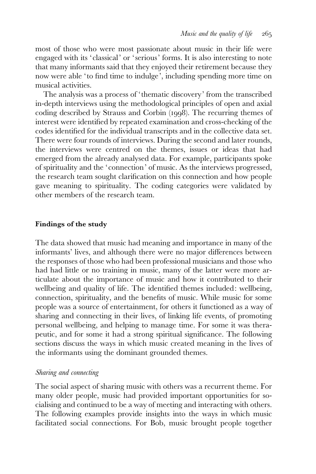most of those who were most passionate about music in their life were engaged with its 'classical' or ' serious' forms. It is also interesting to note that many informants said that they enjoyed their retirement because they now were able 'to find time to indulge', including spending more time on musical activities.

The analysis was a process of 'thematic discovery' from the transcribed in-depth interviews using the methodological principles of open and axial coding described by Strauss and Corbin (1998). The recurring themes of interest were identified by repeated examination and cross-checking of the codes identified for the individual transcripts and in the collective data set. There were four rounds of interviews. During the second and later rounds, the interviews were centred on the themes, issues or ideas that had emerged from the already analysed data. For example, participants spoke of spirituality and the 'connection' of music. As the interviews progressed, the research team sought clarification on this connection and how people gave meaning to spirituality. The coding categories were validated by other members of the research team.

### Findings of the study

The data showed that music had meaning and importance in many of the informants' lives, and although there were no major differences between the responses of those who had been professional musicians and those who had had little or no training in music, many of the latter were more articulate about the importance of music and how it contributed to their wellbeing and quality of life. The identified themes included: wellbeing, connection, spirituality, and the benefits of music. While music for some people was a source of entertainment, for others it functioned as a way of sharing and connecting in their lives, of linking life events, of promoting personal wellbeing, and helping to manage time. For some it was therapeutic, and for some it had a strong spiritual significance. The following sections discuss the ways in which music created meaning in the lives of the informants using the dominant grounded themes.

### Sharing and connecting

The social aspect of sharing music with others was a recurrent theme. For many older people, music had provided important opportunities for socialising and continued to be a way of meeting and interacting with others. The following examples provide insights into the ways in which music facilitated social connections. For Bob, music brought people together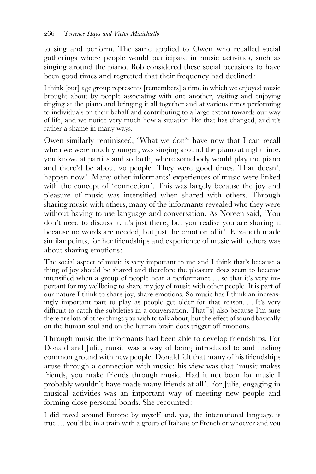to sing and perform. The same applied to Owen who recalled social gatherings where people would participate in music activities, such as singing around the piano. Bob considered these social occasions to have been good times and regretted that their frequency had declined:

I think [our] age group represents [remembers] a time in which we enjoyed music brought about by people associating with one another, visiting and enjoying singing at the piano and bringing it all together and at various times performing to individuals on their behalf and contributing to a large extent towards our way of life, and we notice very much how a situation like that has changed, and it's rather a shame in many ways.

Owen similarly reminisced, 'What we don't have now that I can recall when we were much younger, was singing around the piano at night time, you know, at parties and so forth, where somebody would play the piano and there'd be about 20 people. They were good times. That doesn't happen now'. Many other informants' experiences of music were linked with the concept of 'connection'. This was largely because the joy and pleasure of music was intensified when shared with others. Through sharing music with others, many of the informants revealed who they were without having to use language and conversation. As Noreen said, 'You don't need to discuss it, it's just there; but you realise you are sharing it because no words are needed, but just the emotion of it'. Elizabeth made similar points, for her friendships and experience of music with others was about sharing emotions:

The social aspect of music is very important to me and I think that's because a thing of joy should be shared and therefore the pleasure does seem to become intensified when a group of people hear a performance … so that it's very important for my wellbeing to share my joy of music with other people. It is part of our nature I think to share joy, share emotions. So music has I think an increasingly important part to play as people get older for that reason. … It's very difficult to catch the subtleties in a conversation. That['s] also because I'm sure there are lots of other things you wish to talk about, but the effect of sound basically on the human soul and on the human brain does trigger off emotions.

Through music the informants had been able to develop friendships. For Donald and Julie, music was a way of being introduced to and finding common ground with new people. Donald felt that many of his friendships arose through a connection with music: his view was that 'music makes friends, you make friends through music. Had it not been for music I probably wouldn't have made many friends at all'. For Julie, engaging in musical activities was an important way of meeting new people and forming close personal bonds. She recounted:

I did travel around Europe by myself and, yes, the international language is true … you'd be in a train with a group of Italians or French or whoever and you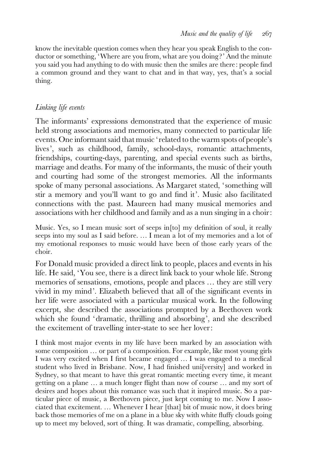know the inevitable question comes when they hear you speak English to the conductor or something, 'Where are you from, what are you doing?' And the minute you said you had anything to do with music then the smiles are there: people find a common ground and they want to chat and in that way, yes, that's a social thing.

# Linking life events

The informants' expressions demonstrated that the experience of music held strong associations and memories, many connected to particular life events. One informant said that music ' related to the warm spots of people's lives', such as childhood, family, school-days, romantic attachments, friendships, courting-days, parenting, and special events such as births, marriage and deaths. For many of the informants, the music of their youth and courting had some of the strongest memories. All the informants spoke of many personal associations. As Margaret stated, ' something will stir a memory and you'll want to go and find it'. Music also facilitated connections with the past. Maureen had many musical memories and associations with her childhood and family and as a nun singing in a choir:

Music. Yes, so I mean music sort of seeps in[to] my definition of soul, it really seeps into my soul as I said before. … I mean a lot of my memories and a lot of my emotional responses to music would have been of those early years of the choir.

For Donald music provided a direct link to people, places and events in his life. He said, 'You see, there is a direct link back to your whole life. Strong memories of sensations, emotions, people and places … they are still very vivid in my mind'. Elizabeth believed that all of the significant events in her life were associated with a particular musical work. In the following excerpt, she described the associations prompted by a Beethoven work which she found 'dramatic, thrilling and absorbing', and she described the excitement of travelling inter-state to see her lover:

I think most major events in my life have been marked by an association with some composition … or part of a composition. For example, like most young girls I was very excited when I first became engaged … I was engaged to a medical student who lived in Brisbane. Now, I had finished uni[versity] and worked in Sydney, so that meant to have this great romantic meeting every time, it meant getting on a plane … a much longer flight than now of course … and my sort of desires and hopes about this romance was such that it inspired music. So a particular piece of music, a Beethoven piece, just kept coming to me. Now I associated that excitement. … Whenever I hear [that] bit of music now, it does bring back those memories of me on a plane in a blue sky with white fluffy clouds going up to meet my beloved, sort of thing. It was dramatic, compelling, absorbing.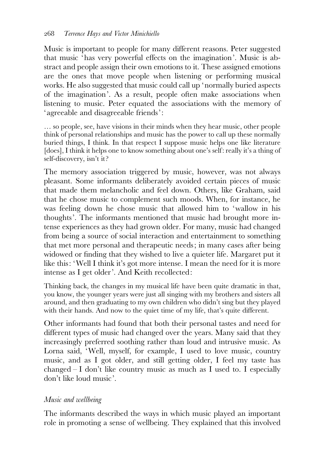Music is important to people for many different reasons. Peter suggested that music 'has very powerful effects on the imagination'. Music is abstract and people assign their own emotions to it. These assigned emotions are the ones that move people when listening or performing musical works. He also suggested that music could call up 'normally buried aspects of the imagination'. As a result, people often make associations when listening to music. Peter equated the associations with the memory of 'agreeable and disagreeable friends':

… so people, see, have visions in their minds when they hear music, other people think of personal relationships and music has the power to call up these normally buried things, I think. In that respect I suppose music helps one like literature [does], I think it helps one to know something about one's self: really it's a thing of self-discovery, isn't it?

The memory association triggered by music, however, was not always pleasant. Some informants deliberately avoided certain pieces of music that made them melancholic and feel down. Others, like Graham, said that he chose music to complement such moods. When, for instance, he was feeling down he chose music that allowed him to 'wallow in his thoughts'. The informants mentioned that music had brought more intense experiences as they had grown older. For many, music had changed from being a source of social interaction and entertainment to something that met more personal and therapeutic needs; in many cases after being widowed or finding that they wished to live a quieter life. Margaret put it like this: 'Well I think it's got more intense. I mean the need for it is more intense as I get older'. And Keith recollected:

Thinking back, the changes in my musical life have been quite dramatic in that, you know, the younger years were just all singing with my brothers and sisters all around, and then graduating to my own children who didn't sing but they played with their hands. And now to the quiet time of my life, that's quite different.

Other informants had found that both their personal tastes and need for different types of music had changed over the years. Many said that they increasingly preferred soothing rather than loud and intrusive music. As Lorna said, 'Well, myself, for example, I used to love music, country music, and as I got older, and still getting older, I feel my taste has changed  $- I$  don't like country music as much as I used to. I especially don't like loud music'.

# Music and wellbeing

The informants described the ways in which music played an important role in promoting a sense of wellbeing. They explained that this involved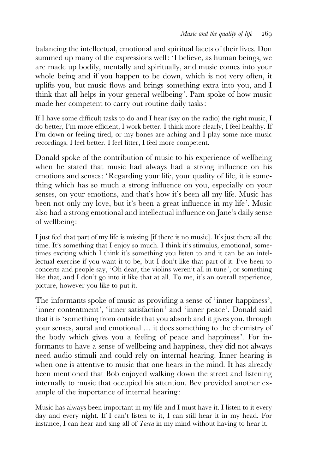balancing the intellectual, emotional and spiritual facets of their lives. Don summed up many of the expressions well: 'I believe, as human beings, we are made up bodily, mentally and spiritually, and music comes into your whole being and if you happen to be down, which is not very often, it uplifts you, but music flows and brings something extra into you, and I think that all helps in your general wellbeing'. Pam spoke of how music made her competent to carry out routine daily tasks:

If I have some difficult tasks to do and I hear (say on the radio) the right music, I do better, I'm more efficient, I work better. I think more clearly, I feel healthy. If I'm down or feeling tired, or my bones are aching and I play some nice music recordings, I feel better. I feel fitter, I feel more competent.

Donald spoke of the contribution of music to his experience of wellbeing when he stated that music had always had a strong influence on his emotions and senses: 'Regarding your life, your quality of life, it is something which has so much a strong influence on you, especially on your senses, on your emotions, and that's how it's been all my life. Music has been not only my love, but it's been a great influence in my life'. Music also had a strong emotional and intellectual influence on Jane's daily sense of wellbeing:

I just feel that part of my life is missing [if there is no music]. It's just there all the time. It's something that I enjoy so much. I think it's stimulus, emotional, sometimes exciting which I think it's something you listen to and it can be an intellectual exercise if you want it to be, but I don't like that part of it. I've been to concerts and people say, 'Oh dear, the violins weren't all in tune', or something like that, and I don't go into it like that at all. To me, it's an overall experience, picture, however you like to put it.

The informants spoke of music as providing a sense of 'inner happiness', 'inner contentment', 'inner satisfaction' and 'inner peace'. Donald said that it is ' something from outside that you absorb and it gives you, through your senses, aural and emotional … it does something to the chemistry of the body which gives you a feeling of peace and happiness'. For informants to have a sense of wellbeing and happiness, they did not always need audio stimuli and could rely on internal hearing. Inner hearing is when one is attentive to music that one hears in the mind. It has already been mentioned that Bob enjoyed walking down the street and listening internally to music that occupied his attention. Bev provided another example of the importance of internal hearing:

Music has always been important in my life and I must have it. I listen to it every day and every night. If I can't listen to it, I can still hear it in my head. For instance, I can hear and sing all of Tosca in my mind without having to hear it.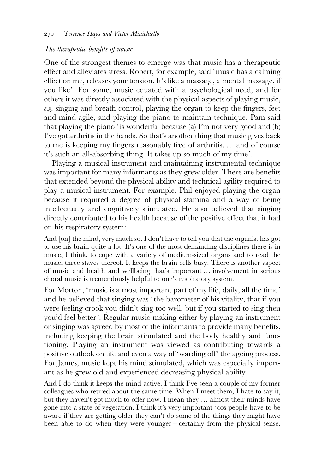## The therapeutic benefits of music

One of the strongest themes to emerge was that music has a therapeutic effect and alleviates stress. Robert, for example, said 'music has a calming effect on me, releases your tension. It's like a massage, a mental massage, if you like'. For some, music equated with a psychological need, and for others it was directly associated with the physical aspects of playing music, e.g. singing and breath control, playing the organ to keep the fingers, feet and mind agile, and playing the piano to maintain technique. Pam said that playing the piano 'is wonderful because (a) I'm not very good and (b) I've got arthritis in the hands. So that's another thing that music gives back to me is keeping my fingers reasonably free of arthritis. … and of course it's such an all-absorbing thing. It takes up so much of my time'.

Playing a musical instrument and maintaining instrumental technique was important for many informants as they grew older. There are benefits that extended beyond the physical ability and technical agility required to play a musical instrument. For example, Phil enjoyed playing the organ because it required a degree of physical stamina and a way of being intellectually and cognitively stimulated. He also believed that singing directly contributed to his health because of the positive effect that it had on his respiratory system:

And [on] the mind, very much so. I don't have to tell you that the organist has got to use his brain quite a lot. It's one of the most demanding disciplines there is in music, I think, to cope with a variety of medium-sized organs and to read the music, three staves thereof. It keeps the brain cells busy. There is another aspect of music and health and wellbeing that's important … involvement in serious choral music is tremendously helpful to one's respiratory system.

For Morton, 'music is a most important part of my life, daily, all the time' and he believed that singing was 'the barometer of his vitality, that if you were feeling crook you didn't sing too well, but if you started to sing then you'd feel better'. Regular music-making either by playing an instrument or singing was agreed by most of the informants to provide many benefits, including keeping the brain stimulated and the body healthy and functioning. Playing an instrument was viewed as contributing towards a positive outlook on life and even a way of 'warding off' the ageing process. For James, music kept his mind stimulated, which was especially important as he grew old and experienced decreasing physical ability:

And I do think it keeps the mind active. I think I've seen a couple of my former colleagues who retired about the same time. When I meet them, I hate to say it, but they haven't got much to offer now. I mean they … almost their minds have gone into a state of vegetation. I think it's very important 'cos people have to be aware if they are getting older they can't do some of the things they might have been able to do when they were younger – certainly from the physical sense.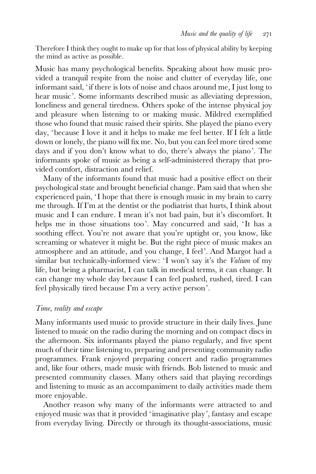Therefore I think they ought to make up for that loss of physical ability by keeping the mind as active as possible.

Music has many psychological benefits. Speaking about how music provided a tranquil respite from the noise and clutter of everyday life, one informant said, 'if there is lots of noise and chaos around me, I just long to hear music'. Some informants described music as alleviating depression, loneliness and general tiredness. Others spoke of the intense physical joy and pleasure when listening to or making music. Mildred exemplified those who found that music raised their spirits. She played the piano every day, 'because I love it and it helps to make me feel better. If I felt a little down or lonely, the piano will fix me. No, but you can feel more tired some days and if you don't know what to do, there's always the piano'. The informants spoke of music as being a self-administered therapy that provided comfort, distraction and relief.

Many of the informants found that music had a positive effect on their psychological state and brought beneficial change. Pam said that when she experienced pain, 'I hope that there is enough music in my brain to carry me through. If I'm at the dentist or the podiatrist that hurts, I think about music and I can endure. I mean it's not bad pain, but it's discomfort. It helps me in those situations too'. May concurred and said, 'It has a soothing effect. You're not aware that you're uptight or, you know, like screaming or whatever it might be. But the right piece of music makes an atmosphere and an attitude, and you change, I feel'. And Margot had a similar but technically-informed view: 'I won't say it's the *Valium* of my life, but being a pharmacist, I can talk in medical terms, it can change. It can change my whole day because I can feel pushed, rushed, tired. I can feel physically tired because I'm a very active person'.

### Time, reality and escape

Many informants used music to provide structure in their daily lives. June listened to music on the radio during the morning and on compact discs in the afternoon. Six informants played the piano regularly, and five spent much of their time listening to, preparing and presenting community radio programmes. Frank enjoyed preparing concert and radio programmes and, like four others, made music with friends. Bob listened to music and presented community classes. Many others said that playing recordings and listening to music as an accompaniment to daily activities made them more enjoyable.

Another reason why many of the informants were attracted to and enjoyed music was that it provided 'imaginative play', fantasy and escape from everyday living. Directly or through its thought-associations, music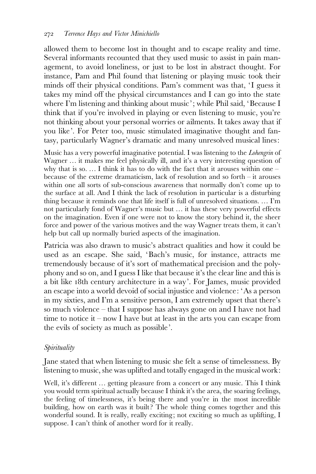allowed them to become lost in thought and to escape reality and time. Several informants recounted that they used music to assist in pain management, to avoid loneliness, or just to be lost in abstract thought. For instance, Pam and Phil found that listening or playing music took their minds off their physical conditions. Pam's comment was that, 'I guess it takes my mind off the physical circumstances and I can go into the state where I'm listening and thinking about music'; while Phil said, 'Because I think that if you're involved in playing or even listening to music, you're not thinking about your personal worries or ailments. It takes away that if you like'. For Peter too, music stimulated imaginative thought and fantasy, particularly Wagner's dramatic and many unresolved musical lines:

Music has a very powerful imaginative potential. I was listening to the *Lohengrin* of Wagner ... it makes me feel physically ill, and it's a very interesting question of why that is so.  $\dots$  I think it has to do with the fact that it arouses within one – because of the extreme dramaticism, lack of resolution and so forth – it arouses within one all sorts of sub-conscious awareness that normally don't come up to the surface at all. And I think the lack of resolution in particular is a disturbing thing because it reminds one that life itself is full of unresolved situations. … I'm not particularly fond of Wagner's music but … it has these very powerful effects on the imagination. Even if one were not to know the story behind it, the sheer force and power of the various motives and the way Wagner treats them, it can't help but call up normally buried aspects of the imagination.

Patricia was also drawn to music's abstract qualities and how it could be used as an escape. She said, 'Bach's music, for instance, attracts me tremendously because of it's sort of mathematical precision and the polyphony and so on, and I guess I like that because it's the clear line and this is a bit like 18th century architecture in a way'. For James, music provided an escape into a world devoid of social injustice and violence: 'As a person in my sixties, and I'm a sensitive person, I am extremely upset that there's so much violence – that I suppose has always gone on and I have not had time to notice it – now I have but at least in the arts you can escape from the evils of society as much as possible'.

# Spirituality

Jane stated that when listening to music she felt a sense of timelessness. By listening to music, she was uplifted and totally engaged in the musical work:

Well, it's different ... getting pleasure from a concert or any music. This I think you would term spiritual actually because I think it's the area, the soaring feelings, the feeling of timelessness, it's being there and you're in the most incredible building, how on earth was it built? The whole thing comes together and this wonderful sound. It is really, really exciting; not exciting so much as uplifting, I suppose. I can't think of another word for it really.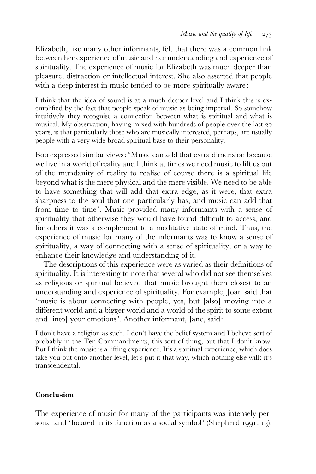Elizabeth, like many other informants, felt that there was a common link between her experience of music and her understanding and experience of spirituality. The experience of music for Elizabeth was much deeper than pleasure, distraction or intellectual interest. She also asserted that people with a deep interest in music tended to be more spiritually aware:

I think that the idea of sound is at a much deeper level and I think this is exemplified by the fact that people speak of music as being imperial. So somehow intuitively they recognise a connection between what is spiritual and what is musical. My observation, having mixed with hundreds of people over the last 20 years, is that particularly those who are musically interested, perhaps, are usually people with a very wide broad spiritual base to their personality.

Bob expressed similar views: 'Music can add that extra dimension because we live in a world of reality and I think at times we need music to lift us out of the mundanity of reality to realise of course there is a spiritual life beyond what is the mere physical and the mere visible. We need to be able to have something that will add that extra edge, as it were, that extra sharpness to the soul that one particularly has, and music can add that from time to time'. Music provided many informants with a sense of spirituality that otherwise they would have found difficult to access, and for others it was a complement to a meditative state of mind. Thus, the experience of music for many of the informants was to know a sense of spirituality, a way of connecting with a sense of spirituality, or a way to enhance their knowledge and understanding of it.

The descriptions of this experience were as varied as their definitions of spirituality. It is interesting to note that several who did not see themselves as religious or spiritual believed that music brought them closest to an understanding and experience of spirituality. For example, Joan said that 'music is about connecting with people, yes, but [also] moving into a different world and a bigger world and a world of the spirit to some extent and [into] your emotions'. Another informant, Jane, said:

I don't have a religion as such. I don't have the belief system and I believe sort of probably in the Ten Commandments, this sort of thing, but that I don't know. But I think the music is a lifting experience. It's a spiritual experience, which does take you out onto another level, let's put it that way, which nothing else will: it's transcendental.

# Conclusion

The experience of music for many of the participants was intensely personal and 'located in its function as a social symbol' (Shepherd 1991: 13).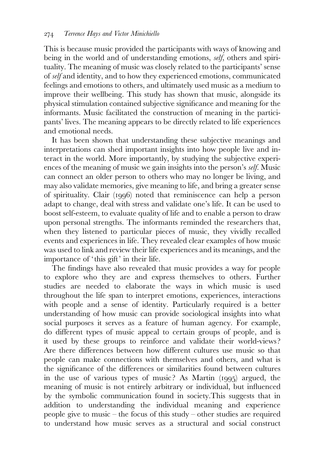This is because music provided the participants with ways of knowing and being in the world and of understanding emotions, *self*, others and spirituality. The meaning of music was closely related to the participants' sense of self and identity, and to how they experienced emotions, communicated feelings and emotions to others, and ultimately used music as a medium to improve their wellbeing. This study has shown that music, alongside its physical stimulation contained subjective significance and meaning for the informants. Music facilitated the construction of meaning in the participants' lives. The meaning appears to be directly related to life experiences and emotional needs.

It has been shown that understanding these subjective meanings and interpretations can shed important insights into how people live and interact in the world. More importantly, by studying the subjective experiences of the meaning of music we gain insights into the person's self. Music can connect an older person to others who may no longer be living, and may also validate memories, give meaning to life, and bring a greater sense of spirituality. Clair (1996) noted that reminiscence can help a person adapt to change, deal with stress and validate one's life. It can be used to boost self-esteem, to evaluate quality of life and to enable a person to draw upon personal strengths. The informants reminded the researchers that, when they listened to particular pieces of music, they vividly recalled events and experiences in life. They revealed clear examples of how music was used to link and review their life experiences and its meanings, and the importance of 'this gift' in their life.

The findings have also revealed that music provides a way for people to explore who they are and express themselves to others. Further studies are needed to elaborate the ways in which music is used throughout the life span to interpret emotions, experiences, interactions with people and a sense of identity. Particularly required is a better understanding of how music can provide sociological insights into what social purposes it serves as a feature of human agency. For example, do different types of music appeal to certain groups of people, and is it used by these groups to reinforce and validate their world-views ? Are there differences between how different cultures use music so that people can make connections with themselves and others, and what is the significance of the differences or similarities found between cultures in the use of various types of music? As Martin  $(1995)$  argued, the meaning of music is not entirely arbitrary or individual, but influenced by the symbolic communication found in society.This suggests that in addition to understanding the individual meaning and experience people give to music – the focus of this study – other studies are required to understand how music serves as a structural and social construct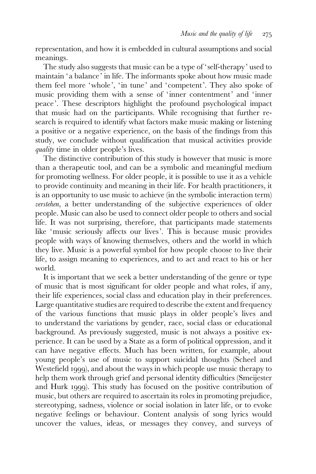representation, and how it is embedded in cultural assumptions and social meanings.

The study also suggests that music can be a type of ' self-therapy' used to maintain 'a balance' in life. The informants spoke about how music made them feel more 'whole', 'in tune' and 'competent'. They also spoke of music providing them with a sense of 'inner contentment' and 'inner peace'. These descriptors highlight the profound psychological impact that music had on the participants. While recognising that further research is required to identify what factors make music making or listening a positive or a negative experience, on the basis of the findings from this study, we conclude without qualification that musical activities provide quality time in older people's lives.

The distinctive contribution of this study is however that music is more than a therapeutic tool, and can be a symbolic and meaningful medium for promoting wellness. For older people, it is possible to use it as a vehicle to provide continuity and meaning in their life. For health practitioners, it is an opportunity to use music to achieve (in the symbolic interaction term) verstehen, a better understanding of the subjective experiences of older people. Music can also be used to connect older people to others and social life. It was not surprising, therefore, that participants made statements like 'music seriously affects our lives'. This is because music provides people with ways of knowing themselves, others and the world in which they live. Music is a powerful symbol for how people choose to live their life, to assign meaning to experiences, and to act and react to his or her world.

It is important that we seek a better understanding of the genre or type of music that is most significant for older people and what roles, if any, their life experiences, social class and education play in their preferences. Large quantitative studies are required to describe the extent and frequency of the various functions that music plays in older people's lives and to understand the variations by gender, race, social class or educational background. As previously suggested, music is not always a positive experience. It can be used by a State as a form of political oppression, and it can have negative effects. Much has been written, for example, about young people's use of music to support suicidal thoughts (Scheel and Westefield 1999), and about the ways in which people use music therapy to help them work through grief and personal identity difficulties (Smeijester and Hurk 1999). This study has focused on the positive contribution of music, but others are required to ascertain its roles in promoting prejudice, stereotyping, sadness, violence or social isolation in later life, or to evoke negative feelings or behaviour. Content analysis of song lyrics would uncover the values, ideas, or messages they convey, and surveys of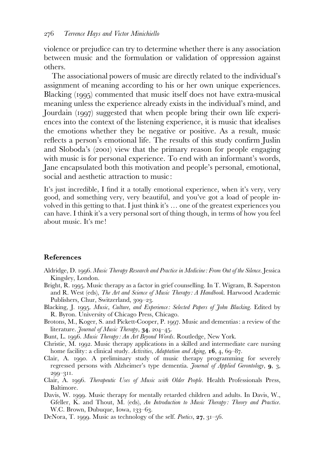violence or prejudice can try to determine whether there is any association between music and the formulation or validation of oppression against others.

The associational powers of music are directly related to the individual's assignment of meaning according to his or her own unique experiences. Blacking (1995) commented that music itself does not have extra-musical meaning unless the experience already exists in the individual's mind, and Jourdain (1997) suggested that when people bring their own life experiences into the context of the listening experience, it is music that idealises the emotions whether they be negative or positive. As a result, music reflects a person's emotional life. The results of this study confirm Juslin and Sloboda's (2001) view that the primary reason for people engaging with music is for personal experience. To end with an informant's words, Jane encapsulated both this motivation and people's personal, emotional, social and aesthetic attraction to music:

It's just incredible, I find it a totally emotional experience, when it's very, very good, and something very, very beautiful, and you've got a load of people involved in this getting to that. I just think it's … one of the greatest experiences you can have. I think it's a very personal sort of thing though, in terms of how you feel about music. It's me!

### References

- Aldridge, D. 1996. Music Therapy Research and Practice in Medicine: From Out of the Silence. Jessica Kingsley, London.
- Bright, R. 1995. Music therapy as a factor in grief counselling. In T. Wigram, B. Saperston and R. West (eds), The Art and Science of Music Therapy: A Handbook. Harwood Academic Publishers, Chur, Switzerland, 309–23.
- Blacking, J. 1995. Music, Culture, and Experience: Selected Papers of John Blacking. Edited by R. Byron. University of Chicago Press, Chicago.
- Brotons, M., Koger, S. and Pickett-Cooper, P. 1997. Music and dementias: a review of the literature. Journal of Music Therapy, 34, 204-45.
- Bunt, L. 1996. Music Therapy: An Art Beyond Words. Routledge, New York.
- Christie, M. 1992. Music therapy applications in a skilled and intermediate care nursing home facility: a clinical study. Activities, Adaptation and Aging, 16, 4, 69-87.
- Clair, A. 1990. A preliminary study of music therapy programming for severely regressed persons with Alzheimer's type dementia. *Journal of Applied Gerontology*,  $\mathbf{q}$ ,  $\mathbf{q}$ , 299–311.
- Clair, A. 1996. Therapeutic Uses of Music with Older People. Health Professionals Press, Baltimore.
- Davis, W. 1999. Music therapy for mentally retarded children and adults. In Davis, W., Gfeller, K. and Thout, M. (eds), An Introduction to Music Therapy: Theory and Practice. W.C. Brown, Dubuque, Iowa, 133–63.
- DeNora, T. 1999. Music as technology of the self. Poetics, 27, 31-56.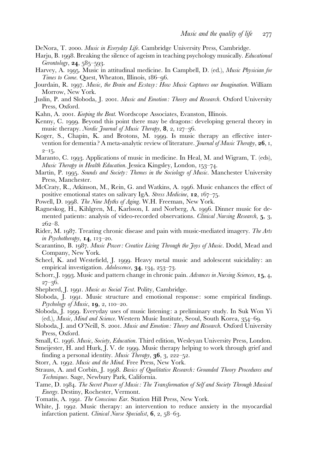DeNora, T. 2000. Music in Everyday Life. Cambridge University Press, Cambridge.

- Harju, B. 1998. Breaking the silence of ageism in teaching psychology musically. Educational  $Gernology, 24, 585-593.$
- Harvey, A. 1995. Music in attitudinal medicine. In Campbell, D. (ed.), Music Physician for Times to Come. Quest, Wheaton, Illinois, 186–96.
- Jourdain, R. 1997. Music, the Brain and Ecstasy: How Music Captures our Imagination. William Morrow, New York.
- Juslin, P. and Sloboda, J. 2001. Music and Emotion: Theory and Research. Oxford University Press, Oxford.
- Kahn, A. 2001. Keeping the Beat. Wordscope Associates, Evanston, Illinois.
- Kenny, C. 1999. Beyond this point there may be dragons: developing general theory in music therapy. Nordic Journal of Music Therapy, 8, 2, 127–36.
- Koger, S., Chapin, K. and Brotons, M. 1999. Is music therapy an effective intervention for dementia? A meta-analytic review of literature. *Journal of Music Therapy*, **26**, 1,  $2 - 15$ .
- Maranto, C. 1993. Applications of music in medicine. In Heal, M. and Wigram, T. (eds), Music Therapy in Health Education. Jessica Kingsley, London, 153–74.
- Martin, P. 1995. Sounds and Society: Themes in the Sociology of Music. Manchester University Press, Manchester.
- McCraty, R., Atkinson, M., Rein, G. and Watkins, A. 1996. Music enhances the effect of positive emotional states on salivary IgA. Stress Medicine,  $12$ ,  $167-75$ .
- Powell, D. 1998. The Nine Myths of Aging. W.H. Freeman, New York.
- Ragneskog, H., Kihlgren, M., Karlsson, I. and Norberg, A. 1996. Dinner music for demented patients: analysis of video-recorded observations. Clinical Nursing Research, 5, 3, 262–8.
- Rider, M. 1987. Treating chronic disease and pain with music-mediated imagery. The Arts in Psychotherapy,  $14$ ,  $113-20$ .
- Scarantino, B. 1987. Music Power: Creative Living Through the Joys of Music. Dodd, Mead and Company, New York.
- Scheel, K. and Westefield, J. 1999. Heavy metal music and adolescent suicidality: an empirical investigation. Adolescence, 34, 134, 253–73.
- Schorr, J. 1993. Music and pattern change in chronic pain. Advances in Nursing Sciences, 15, 4,  $27 - 36.$
- Shepherd, J. 1991. Music as Social Text. Polity, Cambridge.
- Sloboda, J. 1991. Music structure and emotional response: some empirical findings. Psychology of Music,  $19, 2, 110-20$ .
- Sloboda, J. 1999. Everyday uses of music listening: a preliminary study. In Suk Won Yi (ed.), *Music, Mind and Science*. Western Music Institute, Seoul, South Korea, 354–60.
- Sloboda, J. and O'Neill, S. 2001. Music and Emotion: Theory and Research. Oxford University Press, Oxford.
- Small, C. 1996. Music, Society, Education. Third edition, Wesleyan University Press, London.
- Smeijester, H. and Hurk, J. V. de 1999. Music therapy helping to work through grief and finding a personal identity. *Music Therapy*,  $36, 3, 222 - 52$ .
- Storr, A. 1992. Music and the Mind. Free Press, New York.
- Strauss, A. and Corbin, J. 1998. Basics of Qualitative Research: Grounded Theory Procedures and Techniques. Sage, Newbury Park, California.
- Tame, D. 1984. The Secret Power of Music: The Transformation of Self and Society Through Musical Energy. Destiny, Rochester, Vermont.
- Tomatis, A. 1991. The Conscious Ear. Station Hill Press, New York.
- White, J. 1992. Music therapy: an intervention to reduce anxiety in the myocardial infarction patient. Clinical Nurse Specialist, 6, 2, 58–63.